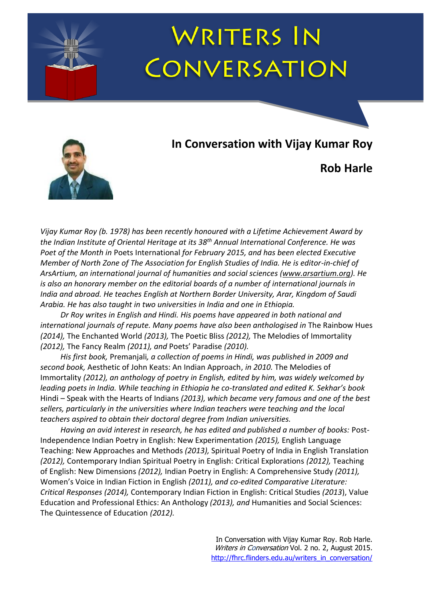# **WRITERS IN** CONVERSATION



### **In Conversation with Vijay Kumar Roy**

**Rob Harle**

*Vijay Kumar Roy (b. 1978) has been recently honoured with a Lifetime Achievement Award by the Indian Institute of Oriental Heritage at its 38th Annual International Conference. He was Poet of the Month in* Poets International *for February 2015, and has been elected Executive Member of North Zone of The Association for English Studies of India. He is editor-in-chief of ArsArtium, an international journal of humanities and social sciences [\(www.arsartium.org\)](http://www.arsartium.org/). He is also an honorary member on the editorial boards of a number of international journals in India and abroad. He teaches English at Northern Border University, Arar, Kingdom of Saudi Arabia. He has also taught in two universities in India and one in Ethiopia.*

*Dr Roy writes in English and Hindi. His poems have appeared in both national and international journals of repute. Many poems have also been anthologised in* The Rainbow Hues *(2014),* The Enchanted World *(2013),* The Poetic Bliss *(2012),* The Melodies of Immortality *(2012),* The Fancy Realm *(2011), and* Poets' Paradise *(2010).* 

*His first book,* Premanjali*, a collection of poems in Hindi, was published in 2009 and second book,* Aesthetic of John Keats: An Indian Approach, *in 2010.* The Melodies of Immortality *(2012), an anthology of poetry in English, edited by him, was widely welcomed by leading poets in India. While teaching in Ethiopia he co-translated and edited K. Sekhar's book*  Hindi – Speak with the Hearts of Indians *(2013), which became very famous and one of the best sellers, particularly in the universities where Indian teachers were teaching and the local teachers aspired to obtain their doctoral degree from Indian universities.*

*Having an avid interest in research, he has edited and published a number of books:* Post-Independence Indian Poetry in English: New Experimentation *(2015),* English Language Teaching: New Approaches and Methods *(2013),* Spiritual Poetry of India in English Translation *(2012),* Contemporary Indian Spiritual Poetry in English: Critical Explorations *(2012),* Teaching of English: New Dimensions *(2012),* Indian Poetry in English: A Comprehensive Study *(2011),*  Women's Voice in Indian Fiction in English *(2011), and co-edited Comparative Literature: Critical Responses (2014),* Contemporary Indian Fiction in English: Critical Studies *(2013*), Value Education and Professional Ethics: An Anthology *(2013), and* Humanities and Social Sciences: The Quintessence of Education *(2012).*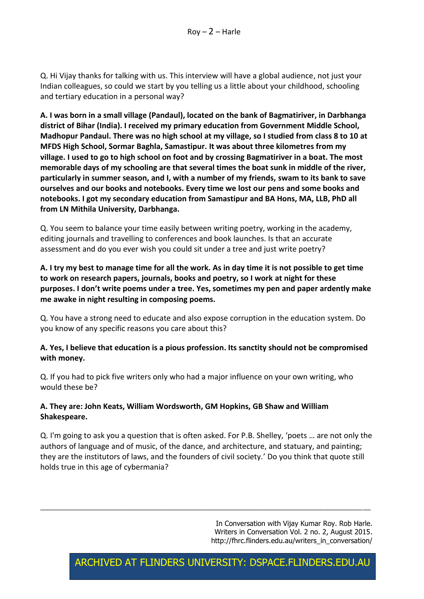Q. Hi Vijay thanks for talking with us. This interview will have a global audience, not just your Indian colleagues, so could we start by you telling us a little about your childhood, schooling and tertiary education in a personal way?

**A. I was born in a small village (Pandaul), located on the bank of Bagmatiriver, in Darbhanga district of Bihar (India). I received my primary education from Government Middle School, Madhopur Pandaul. There was no high school at my village, so I studied from class 8 to 10 at MFDS High School, Sormar Baghla, Samastipur. It was about three kilometres from my village. I used to go to high school on foot and by crossing Bagmatiriver in a boat. The most memorable days of my schooling are that several times the boat sunk in middle of the river, particularly in summer season, and I, with a number of my friends, swam to its bank to save ourselves and our books and notebooks. Every time we lost our pens and some books and notebooks. I got my secondary education from Samastipur and BA Hons, MA, LLB, PhD all from LN Mithila University, Darbhanga.** 

Q. You seem to balance your time easily between writing poetry, working in the academy, editing journals and travelling to conferences and book launches. Is that an accurate assessment and do you ever wish you could sit under a tree and just write poetry?

**A. I try my best to manage time for all the work. As in day time it is not possible to get time to work on research papers, journals, books and poetry, so I work at night for these purposes. I don't write poems under a tree. Yes, sometimes my pen and paper ardently make me awake in night resulting in composing poems.** 

Q. You have a strong need to educate and also expose corruption in the education system. Do you know of any specific reasons you care about this?

#### **A. Yes, I believe that education is a pious profession. Its sanctity should not be compromised with money.**

Q. If you had to pick five writers only who had a major influence on your own writing, who would these be?

#### **A. They are: John Keats, William Wordsworth, GM Hopkins, GB Shaw and William Shakespeare.**

Q. I'm going to ask you a question that is often asked. For P.B. Shelley, 'poets … are not only the authors of language and of music, of the dance, and architecture, and statuary, and painting; they are the institutors of laws, and the founders of civil society.' Do you think that quote still holds true in this age of cybermania?

 $\_$  , and the set of the set of the set of the set of the set of the set of the set of the set of the set of the set of the set of the set of the set of the set of the set of the set of the set of the set of the set of th

In Conversation with Vijay Kumar Roy. Rob Harle. Writers in Conversation Vol. 2 no. 2, August 2015. [http://fhrc.flinders.edu.au/writers\\_in\\_conversation/](http://fhrc.flinders.edu.au/writers_in_conversation/)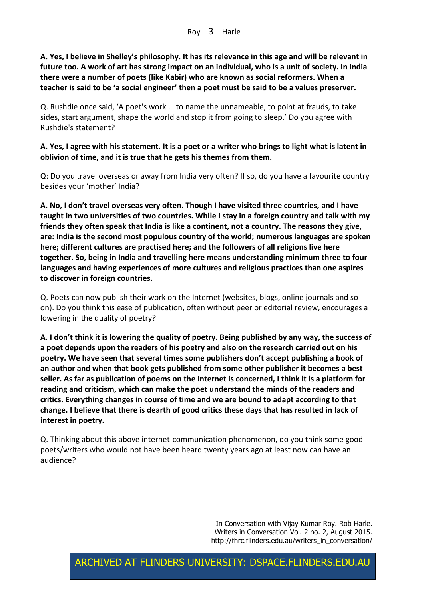**A. Yes, I believe in Shelley's philosophy. It has its relevance in this age and will be relevant in future too. A work of art has strong impact on an individual, who is a unit of society. In India there were a number of poets (like Kabir) who are known as social reformers. When a teacher is said to be 'a social engineer' then a poet must be said to be a values preserver.**

Q. Rushdie once said, 'A poet's work … to name the unnameable, to point at frauds, to take sides, start argument, shape the world and stop it from going to sleep.' Do you agree with Rushdie's statement?

#### **A. Yes, I agree with his statement. It is a poet or a writer who brings to light what is latent in oblivion of time, and it is true that he gets his themes from them.**

Q: Do you travel overseas or away from India very often? If so, do you have a favourite country besides your 'mother' India?

**A. No, I don't travel overseas very often. Though I have visited three countries, and I have taught in two universities of two countries. While I stay in a foreign country and talk with my friends they often speak that India is like a continent, not a country. The reasons they give, are: India is the second most populous country of the world; numerous languages are spoken here; different cultures are practised here; and the followers of all religions live here together. So, being in India and travelling here means understanding minimum three to four languages and having experiences of more cultures and religious practices than one aspires to discover in foreign countries.**

Q. Poets can now publish their work on the Internet (websites, blogs, online journals and so on). Do you think this ease of publication, often without peer or editorial review, encourages a lowering in the quality of poetry?

**A. I don't think it is lowering the quality of poetry. Being published by any way, the success of a poet depends upon the readers of his poetry and also on the research carried out on his poetry. We have seen that several times some publishers don't accept publishing a book of an author and when that book gets published from some other publisher it becomes a best seller. As far as publication of poems on the Internet is concerned, I think it is a platform for reading and criticism, which can make the poet understand the minds of the readers and critics. Everything changes in course of time and we are bound to adapt according to that change. I believe that there is dearth of good critics these days that has resulted in lack of interest in poetry.**

Q. Thinking about this above internet-communication phenomenon, do you think some good poets/writers who would not have been heard twenty years ago at least now can have an audience?

 $\_$  , and the set of the set of the set of the set of the set of the set of the set of the set of the set of the set of the set of the set of the set of the set of the set of the set of the set of the set of the set of th

In Conversation with Vijay Kumar Roy. Rob Harle. Writers in Conversation Vol. 2 no. 2, August 2015. [http://fhrc.flinders.edu.au/writers\\_in\\_conversation/](http://fhrc.flinders.edu.au/writers_in_conversation/)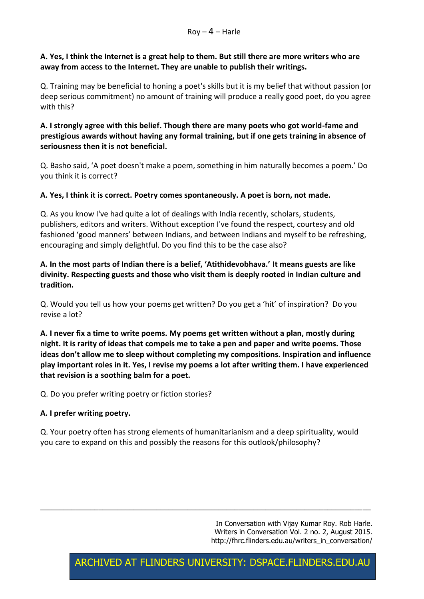#### **A. Yes, I think the Internet is a great help to them. But still there are more writers who are away from access to the Internet. They are unable to publish their writings.**

Q. Training may be beneficial to honing a poet's skills but it is my belief that without passion (or deep serious commitment) no amount of training will produce a really good poet, do you agree with this?

#### **A. I strongly agree with this belief. Though there are many poets who got world-fame and prestigious awards without having any formal training, but if one gets training in absence of seriousness then it is not beneficial.**

Q. Basho said, 'A poet doesn't make a poem, something in him naturally becomes a poem.' Do you think it is correct?

#### **A. Yes, I think it is correct. Poetry comes spontaneously. A poet is born, not made.**

Q. As you know I've had quite a lot of dealings with India recently, scholars, students, publishers, editors and writers. Without exception I've found the respect, courtesy and old fashioned 'good manners' between Indians, and between Indians and myself to be refreshing, encouraging and simply delightful. Do you find this to be the case also?

#### **A. In the most parts of Indian there is a belief, 'Atithidevobhava.' It means guests are like divinity. Respecting guests and those who visit them is deeply rooted in Indian culture and tradition.**

Q. Would you tell us how your poems get written? Do you get a 'hit' of inspiration? Do you revise a lot?

**A. I never fix a time to write poems. My poems get written without a plan, mostly during night. It is rarity of ideas that compels me to take a pen and paper and write poems. Those ideas don't allow me to sleep without completing my compositions. Inspiration and influence play important roles in it. Yes, I revise my poems a lot after writing them. I have experienced that revision is a soothing balm for a poet.**

Q. Do you prefer writing poetry or fiction stories?

#### **A. I prefer writing poetry.**

Q. Your poetry often has strong elements of humanitarianism and a deep spirituality, would you care to expand on this and possibly the reasons for this outlook/philosophy?

 $\_$  , and the set of the set of the set of the set of the set of the set of the set of the set of the set of the set of the set of the set of the set of the set of the set of the set of the set of the set of the set of th

In Conversation with Vijay Kumar Roy. Rob Harle. Writers in Conversation Vol. 2 no. 2, August 2015. [http://fhrc.flinders.edu.au/writers\\_in\\_conversation/](http://fhrc.flinders.edu.au/writers_in_conversation/)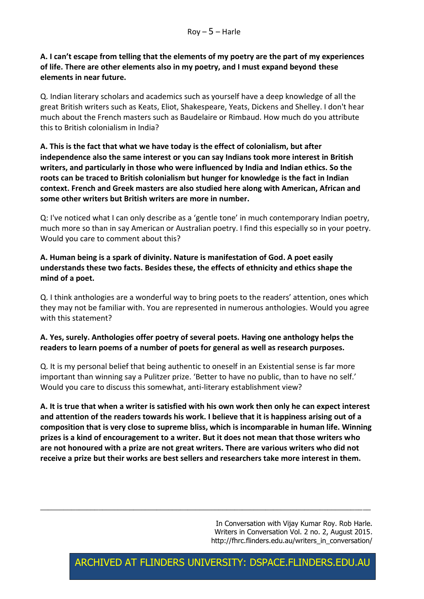#### **A. I can't escape from telling that the elements of my poetry are the part of my experiences of life. There are other elements also in my poetry, and I must expand beyond these elements in near future.**

Q. Indian literary scholars and academics such as yourself have a deep knowledge of all the great British writers such as Keats, Eliot, Shakespeare, Yeats, Dickens and Shelley. I don't hear much about the French masters such as Baudelaire or Rimbaud. How much do you attribute this to British colonialism in India?

**A. This is the fact that what we have today is the effect of colonialism, but after independence also the same interest or you can say Indians took more interest in British writers, and particularly in those who were influenced by India and Indian ethics. So the roots can be traced to British colonialism but hunger for knowledge is the fact in Indian context. French and Greek masters are also studied here along with American, African and some other writers but British writers are more in number.**

Q: I've noticed what I can only describe as a 'gentle tone' in much contemporary Indian poetry, much more so than in say American or Australian poetry. I find this especially so in your poetry. Would you care to comment about this?

#### **A. Human being is a spark of divinity. Nature is manifestation of God. A poet easily understands these two facts. Besides these, the effects of ethnicity and ethics shape the mind of a poet.**

Q. I think anthologies are a wonderful way to bring poets to the readers' attention, ones which they may not be familiar with. You are represented in numerous anthologies. Would you agree with this statement?

#### **A. Yes, surely. Anthologies offer poetry of several poets. Having one anthology helps the readers to learn poems of a number of poets for general as well as research purposes.**

Q. It is my personal belief that being authentic to oneself in an Existential sense is far more important than winning say a Pulitzer prize. 'Better to have no public, than to have no self.' Would you care to discuss this somewhat, anti-literary establishment view?

**A. It is true that when a writer is satisfied with his own work then only he can expect interest and attention of the readers towards his work. I believe that it is happiness arising out of a composition that is very close to supreme bliss, which is incomparable in human life. Winning prizes is a kind of encouragement to a writer. But it does not mean that those writers who are not honoured with a prize are not great writers. There are various writers who did not receive a prize but their works are best sellers and researchers take more interest in them.** 

 $\_$  , and the set of the set of the set of the set of the set of the set of the set of the set of the set of the set of the set of the set of the set of the set of the set of the set of the set of the set of the set of th

In Conversation with Vijay Kumar Roy. Rob Harle. Writers in Conversation Vol. 2 no. 2, August 2015. [http://fhrc.flinders.edu.au/writers\\_in\\_conversation/](http://fhrc.flinders.edu.au/writers_in_conversation/)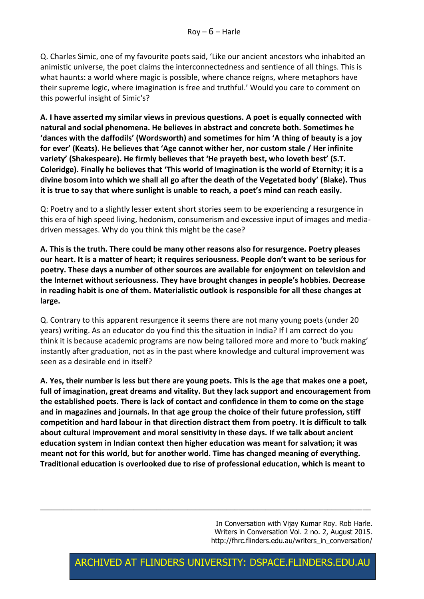Q. Charles Simic, one of my favourite poets said, 'Like our ancient ancestors who inhabited an animistic universe, the poet claims the interconnectedness and sentience of all things. This is what haunts: a world where magic is possible, where chance reigns, where metaphors have their supreme logic, where imagination is free and truthful.' Would you care to comment on this powerful insight of Simic's?

**A. I have asserted my similar views in previous questions. A poet is equally connected with natural and social phenomena. He believes in abstract and concrete both. Sometimes he 'dances with the daffodils' (Wordsworth) and sometimes for him 'A thing of beauty is a joy for ever' (Keats). He believes that 'Age cannot wither her, nor custom stale / Her infinite variety' (Shakespeare). He firmly believes that 'He prayeth best, who loveth best' (S.T. Coleridge). Finally he believes that 'This world of Imagination is the world of Eternity; it is a divine bosom into which we shall all go after the death of the Vegetated body' (Blake). Thus it is true to say that where sunlight is unable to reach, a poet's mind can reach easily.**

Q: Poetry and to a slightly lesser extent short stories seem to be experiencing a resurgence in this era of high speed living, hedonism, consumerism and excessive input of images and mediadriven messages. Why do you think this might be the case?

**A. This is the truth. There could be many other reasons also for resurgence. Poetry pleases our heart. It is a matter of heart; it requires seriousness. People don't want to be serious for poetry. These days a number of other sources are available for enjoyment on television and the Internet without seriousness. They have brought changes in people's hobbies. Decrease in reading habit is one of them. Materialistic outlook is responsible for all these changes at large.** 

Q. Contrary to this apparent resurgence it seems there are not many young poets (under 20 years) writing. As an educator do you find this the situation in India? If I am correct do you think it is because academic programs are now being tailored more and more to 'buck making' instantly after graduation, not as in the past where knowledge and cultural improvement was seen as a desirable end in itself?

**A. Yes, their number is less but there are young poets. This is the age that makes one a poet, full of imagination, great dreams and vitality. But they lack support and encouragement from the established poets. There is lack of contact and confidence in them to come on the stage and in magazines and journals. In that age group the choice of their future profession, stiff competition and hard labour in that direction distract them from poetry. It is difficult to talk about cultural improvement and moral sensitivity in these days. If we talk about ancient education system in Indian context then higher education was meant for salvation; it was meant not for this world, but for another world. Time has changed meaning of everything. Traditional education is overlooked due to rise of professional education, which is meant to** 

 $\_$  , and the set of the set of the set of the set of the set of the set of the set of the set of the set of the set of the set of the set of the set of the set of the set of the set of the set of the set of the set of th

In Conversation with Vijay Kumar Roy. Rob Harle. Writers in Conversation Vol. 2 no. 2, August 2015. [http://fhrc.flinders.edu.au/writers\\_in\\_conversation/](http://fhrc.flinders.edu.au/writers_in_conversation/)